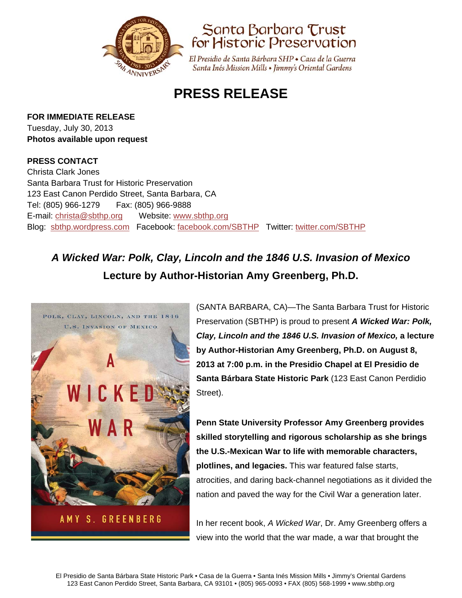



El Presidio de Santa Bárbara SHP · Casa de la Guerra Santa Inés Mission Mills • Jimmy's Oriental Gardens

## **PRESS RELEASE**

**FOR IMMEDIATE RELEASE**

Tuesday, July 30, 2013 **Photos available upon request** 

## **PRESS CONTACT**

Christa Clark Jones Santa Barbara Trust for Historic Preservation 123 East Canon Perdido Street, Santa Barbara, CA Tel: (805) 966-1279 Fax: (805) 966-9888 E-mail: christa@sbthp.org Website: www.sbthp.org Blog: sbthp.wordpress.com Facebook: facebook.com/SBTHP Twitter: twitter.com/SBTHP

## *A Wicked War: Polk, Clay, Lincoln and the 1846 U.S. Invasion of Mexico* **Lecture by Author-Historian Amy Greenberg, Ph.D.**



(SANTA BARBARA, CA)—The Santa Barbara Trust for Historic Preservation (SBTHP) is proud to present *A Wicked War: Polk, Clay, Lincoln and the 1846 U.S. Invasion of Mexico,* **a lecture by Author-Historian Amy Greenberg, Ph.D. on August 8, 2013 at 7:00 p.m. in the Presidio Chapel at El Presidio de Santa Bárbara State Historic Park** (123 East Canon Perdidio Street).

**Penn State University Professor Amy Greenberg provides skilled storytelling and rigorous scholarship as she brings the U.S.-Mexican War to life with memorable characters, plotlines, and legacies.** This war featured false starts, atrocities, and daring back-channel negotiations as it divided the nation and paved the way for the Civil War a generation later.

In her recent book, *A Wicked War*, Dr. Amy Greenberg offers a view into the world that the war made, a war that brought the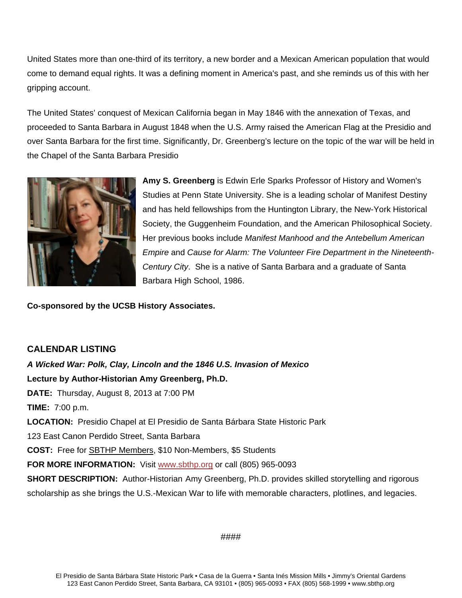United States more than one-third of its territory, a new border and a Mexican American population that would come to demand equal rights. It was a defining moment in America's past, and she reminds us of this with her gripping account.

The United States' conquest of Mexican California began in May 1846 with the annexation of Texas, and proceeded to Santa Barbara in August 1848 when the U.S. Army raised the American Flag at the Presidio and over Santa Barbara for the first time. Significantly, Dr. Greenberg's lecture on the topic of the war will be held in the Chapel of the Santa Barbara Presidio



**Amy S. Greenberg** is Edwin Erle Sparks Professor of History and Women's Studies at Penn State University. She is a leading scholar of Manifest Destiny and has held fellowships from the Huntington Library, the New-York Historical Society, the Guggenheim Foundation, and the American Philosophical Society. Her previous books include *Manifest Manhood and the Antebellum American Empire* and *Cause for Alarm: The Volunteer Fire Department in the Nineteenth-Century City*. She is a native of Santa Barbara and a graduate of Santa Barbara High School, 1986.

**Co-sponsored by the UCSB History Associates.**

## **CALENDAR LISTING**

*A Wicked War: Polk, Clay, Lincoln and the 1846 U.S. Invasion of Mexico* **Lecture by Author-Historian Amy Greenberg, Ph.D. DATE:** Thursday, August 8, 2013 at 7:00 PM **TIME:** 7:00 p.m. **LOCATION:** Presidio Chapel at El Presidio de Santa Bárbara State Historic Park 123 East Canon Perdido Street, Santa Barbara **COST:** Free for SBTHP Members, \$10 Non-Members, \$5 Students FOR MORE INFORMATION: Visit www.sbthp.org or call (805) 965-0093 **SHORT DESCRIPTION:** Author-Historian Amy Greenberg, Ph.D. provides skilled storytelling and rigorous scholarship as she brings the U.S.-Mexican War to life with memorable characters, plotlines, and legacies.

####